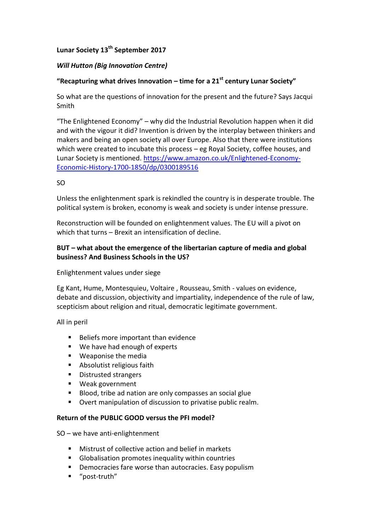# **Lunar Society 13th September 2017**

### *Will Hutton (Big Innovation Centre)*

## **"Recapturing what drives Innovation – time for a 21st century Lunar Society"**

So what are the questions of innovation for the present and the future? Says Jacqui Smith

"The Enlightened Economy" – why did the Industrial Revolution happen when it did and with the vigour it did? Invention is driven by the interplay between thinkers and makers and being an open society all over Europe. Also that there were institutions which were created to incubate this process – eg Royal Society, coffee houses, and Lunar Society is mentioned. [https://www.amazon.co.uk/Enlightened-Economy-](https://www.amazon.co.uk/Enlightened-Economy-Economic-History-1700-1850/dp/0300189516)[Economic-History-1700-1850/dp/0300189516](https://www.amazon.co.uk/Enlightened-Economy-Economic-History-1700-1850/dp/0300189516)

#### SO

Unless the enlightenment spark is rekindled the country is in desperate trouble. The political system is broken, economy is weak and society is under intense pressure.

Reconstruction will be founded on enlightenment values. The EU will a pivot on which that turns – Brexit an intensification of decline.

### **BUT – what about the emergence of the libertarian capture of media and global business? And Business Schools in the US?**

#### Enlightenment values under siege

Eg Kant, Hume, Montesquieu, Voltaire , Rousseau, Smith - values on evidence, debate and discussion, objectivity and impartiality, independence of the rule of law, scepticism about religion and ritual, democratic legitimate government.

All in peril

- Beliefs more important than evidence
- We have had enough of experts
- **Weaponise the media**
- **Absolutist religious faith**
- **Distrusted strangers**
- Weak government
- Blood, tribe ad nation are only compasses an social glue
- Overt manipulation of discussion to privatise public realm.

### **Return of the PUBLIC GOOD versus the PFI model?**

SO – we have anti-enlightenment

- Mistrust of collective action and belief in markets
- Globalisation promotes inequality within countries
- **•** Democracies fare worse than autocracies. Easy populism
- "post-truth"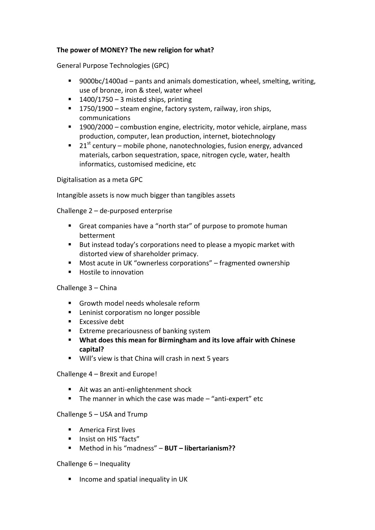### **The power of MONEY? The new religion for what?**

General Purpose Technologies (GPC)

- 9000bc/1400ad pants and animals domestication, wheel, smelting, writing, use of bronze, iron & steel, water wheel
- $1400/1750 3$  misted ships, printing
- 1750/1900 steam engine, factory system, railway, iron ships, communications
- 1900/2000 combustion engine, electricity, motor vehicle, airplane, mass production, computer, lean production, internet, biotechnology
- $\blacksquare$  21<sup>st</sup> century mobile phone, nanotechnologies, fusion energy, advanced materials, carbon sequestration, space, nitrogen cycle, water, health informatics, customised medicine, etc

Digitalisation as a meta GPC

Intangible assets is now much bigger than tangibles assets

Challenge 2 – de-purposed enterprise

- Great companies have a "north star" of purpose to promote human betterment
- But instead today's corporations need to please a myopic market with distorted view of shareholder primacy.
- Most acute in UK "ownerless corporations" fragmented ownership
- **Hostile to innovation**

#### Challenge 3 – China

- Growth model needs wholesale reform
- **Leninist corporatism no longer possible**
- **Excessive debt**
- **Extreme precariousness of banking system**
- **What does this mean for Birmingham and its love affair with Chinese capital?**
- Will's view is that China will crash in next 5 years

Challenge 4 – Brexit and Europe!

- Ait was an anti-enlightenment shock
- The manner in which the case was made  $-$  "anti-expert" etc

#### Challenge 5 – USA and Trump

- **America First lives**
- **Insist on HIS "facts"**
- Method in his "madness" **BUT – libertarianism??**

#### Challenge 6 – Inequality

 $\blacksquare$  Income and spatial inequality in UK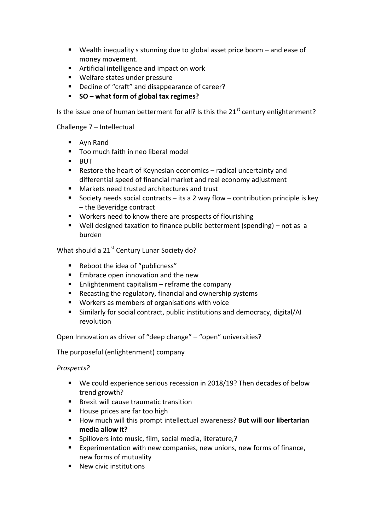- Wealth inequality s stunning due to global asset price boom and ease of money movement.
- Artificial intelligence and impact on work
- Welfare states under pressure
- Decline of "craft" and disappearance of career?
- **SO – what form of global tax regimes?**

Is the issue one of human betterment for all? Is this the  $21<sup>st</sup>$  century enlightenment?

Challenge 7 – Intellectual

- Ayn Rand
- Too much faith in neo liberal model
- **BUT**
- Restore the heart of Keynesian economics radical uncertainty and differential speed of financial market and real economy adjustment
- Markets need trusted architectures and trust
- Society needs social contracts its a 2 way flow contribution principle is key – the Beveridge contract
- **Workers need to know there are prospects of flourishing**
- Well designed taxation to finance public betterment (spending) not as a burden

What should a 21<sup>st</sup> Century Lunar Society do?

- Reboot the idea of "publicness"
- **Embrace open innovation and the new**
- $\blacksquare$  Enlightenment capitalism reframe the company
- Recasting the regulatory, financial and ownership systems
- Workers as members of organisations with voice
- Similarly for social contract, public institutions and democracy, digital/AI revolution

Open Innovation as driver of "deep change" – "open" universities?

The purposeful (enlightenment) company

*Prospects?* 

- We could experience serious recession in 2018/19? Then decades of below trend growth?
- **Brexit will cause traumatic transition**
- House prices are far too high
- **How much will this prompt intellectual awareness? But will our libertarian media allow it?**
- Spillovers into music, film, social media, literature,?
- Experimentation with new companies, new unions, new forms of finance, new forms of mutuality
- New civic institutions